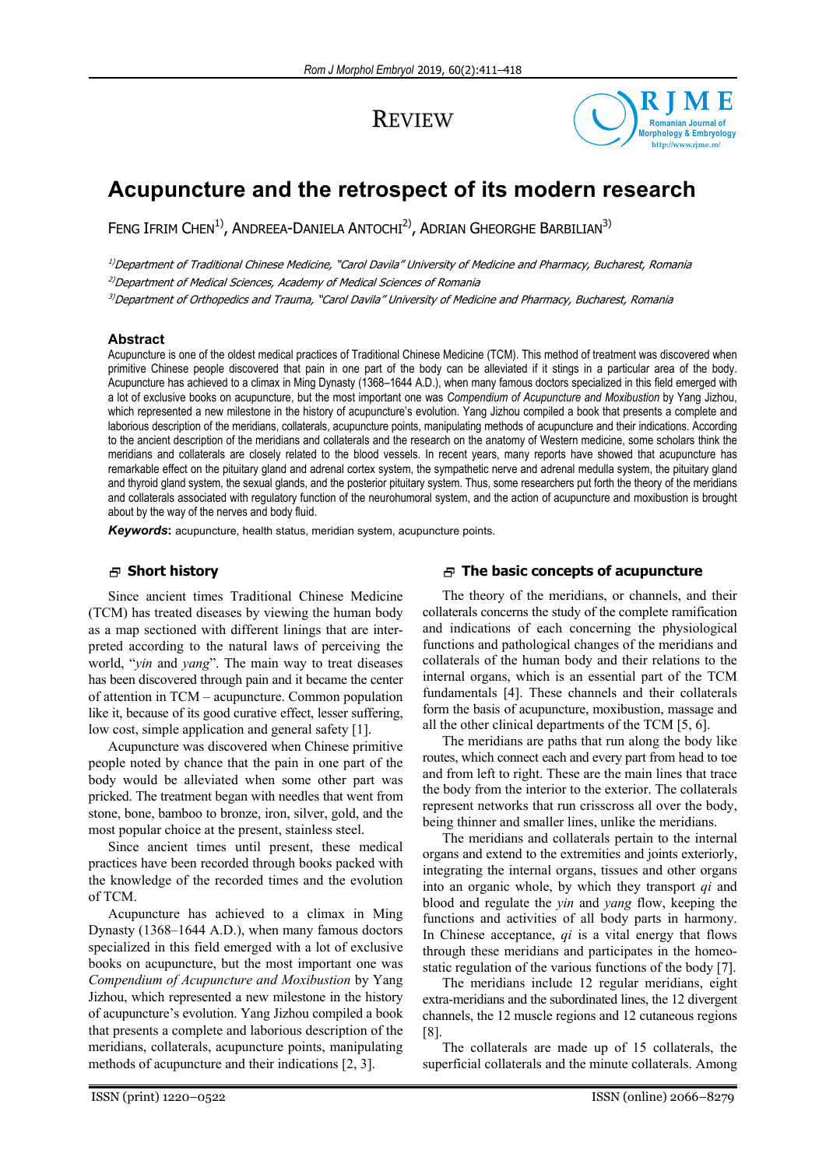## **REVIEW**



# **Acupuncture and the retrospect of its modern research**

FENG IFRIM CHEN<sup>1)</sup>, ANDREEA-DANIELA ANTOCHI<sup>2)</sup>, ADRIAN GHEORGHE BARBILIAN<sup>3)</sup>

<sup>1)</sup>Department of Traditional Chinese Medicine, "Carol Davila" University of Medicine and Pharmacy, Bucharest, Romania

<sup>2)</sup>Department of Medical Sciences, Academy of Medical Sciences of Romania

3)Department of Orthopedics and Trauma, "Carol Davila" University of Medicine and Pharmacy, Bucharest, Romania

## **Abstract**

Acupuncture is one of the oldest medical practices of Traditional Chinese Medicine (TCM). This method of treatment was discovered when primitive Chinese people discovered that pain in one part of the body can be alleviated if it stings in a particular area of the body. Acupuncture has achieved to a climax in Ming Dynasty (1368–1644 A.D.), when many famous doctors specialized in this field emerged with a lot of exclusive books on acupuncture, but the most important one was *Compendium of Acupuncture and Moxibustion* by Yang Jizhou, which represented a new milestone in the history of acupuncture's evolution. Yang Jizhou compiled a book that presents a complete and laborious description of the meridians, collaterals, acupuncture points, manipulating methods of acupuncture and their indications. According to the ancient description of the meridians and collaterals and the research on the anatomy of Western medicine, some scholars think the meridians and collaterals are closely related to the blood vessels. In recent years, many reports have showed that acupuncture has remarkable effect on the pituitary gland and adrenal cortex system, the sympathetic nerve and adrenal medulla system, the pituitary gland and thyroid gland system, the sexual glands, and the posterior pituitary system. Thus, some researchers put forth the theory of the meridians and collaterals associated with regulatory function of the neurohumoral system, and the action of acupuncture and moxibustion is brought about by the way of the nerves and body fluid.

*Keywords***:** acupuncture, health status, meridian system, acupuncture points.

## **Short history**

Since ancient times Traditional Chinese Medicine (TCM) has treated diseases by viewing the human body as a map sectioned with different linings that are interpreted according to the natural laws of perceiving the world, "*yin* and *yang*". The main way to treat diseases has been discovered through pain and it became the center of attention in TCM – acupuncture. Common population like it, because of its good curative effect, lesser suffering, low cost, simple application and general safety [1].

Acupuncture was discovered when Chinese primitive people noted by chance that the pain in one part of the body would be alleviated when some other part was pricked. The treatment began with needles that went from stone, bone, bamboo to bronze, iron, silver, gold, and the most popular choice at the present, stainless steel.

Since ancient times until present, these medical practices have been recorded through books packed with the knowledge of the recorded times and the evolution of TCM.

Acupuncture has achieved to a climax in Ming Dynasty (1368–1644 A.D.), when many famous doctors specialized in this field emerged with a lot of exclusive books on acupuncture, but the most important one was *Compendium of Acupuncture and Moxibustion* by Yang Jizhou, which represented a new milestone in the history of acupuncture's evolution. Yang Jizhou compiled a book that presents a complete and laborious description of the meridians, collaterals, acupuncture points, manipulating methods of acupuncture and their indications [2, 3].

## **The basic concepts of acupuncture**

The theory of the meridians, or channels, and their collaterals concerns the study of the complete ramification and indications of each concerning the physiological functions and pathological changes of the meridians and collaterals of the human body and their relations to the internal organs, which is an essential part of the TCM fundamentals [4]. These channels and their collaterals form the basis of acupuncture, moxibustion, massage and all the other clinical departments of the TCM [5, 6].

The meridians are paths that run along the body like routes, which connect each and every part from head to toe and from left to right. These are the main lines that trace the body from the interior to the exterior. The collaterals represent networks that run crisscross all over the body, being thinner and smaller lines, unlike the meridians.

The meridians and collaterals pertain to the internal organs and extend to the extremities and joints exteriorly, integrating the internal organs, tissues and other organs into an organic whole, by which they transport *qi* and blood and regulate the *yin* and *yang* flow, keeping the functions and activities of all body parts in harmony. In Chinese acceptance, *qi* is a vital energy that flows through these meridians and participates in the homeostatic regulation of the various functions of the body [7].

The meridians include 12 regular meridians, eight extra-meridians and the subordinated lines, the 12 divergent channels, the 12 muscle regions and 12 cutaneous regions [8].

The collaterals are made up of 15 collaterals, the superficial collaterals and the minute collaterals. Among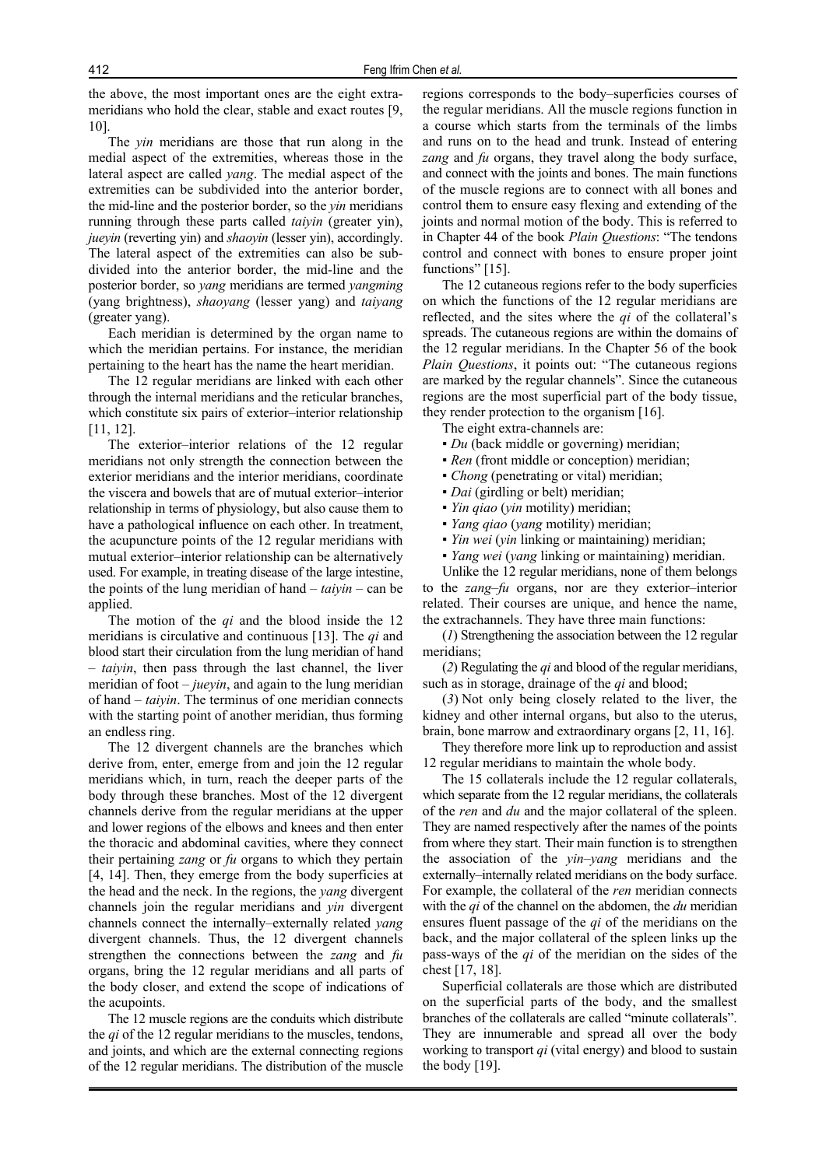the above, the most important ones are the eight extrameridians who hold the clear, stable and exact routes [9, 10].

The *yin* meridians are those that run along in the medial aspect of the extremities, whereas those in the lateral aspect are called *yang*. The medial aspect of the extremities can be subdivided into the anterior border, the mid-line and the posterior border, so the *yin* meridians running through these parts called *taiyin* (greater yin), *jueyin* (reverting yin) and *shaoyin* (lesser yin), accordingly. The lateral aspect of the extremities can also be subdivided into the anterior border, the mid-line and the posterior border, so *yang* meridians are termed *yangming* (yang brightness), *shaoyang* (lesser yang) and *taiyang* (greater yang).

Each meridian is determined by the organ name to which the meridian pertains. For instance, the meridian pertaining to the heart has the name the heart meridian.

The 12 regular meridians are linked with each other through the internal meridians and the reticular branches, which constitute six pairs of exterior–interior relationship [11, 12].

The exterior–interior relations of the 12 regular meridians not only strength the connection between the exterior meridians and the interior meridians, coordinate the viscera and bowels that are of mutual exterior–interior relationship in terms of physiology, but also cause them to have a pathological influence on each other. In treatment, the acupuncture points of the 12 regular meridians with mutual exterior–interior relationship can be alternatively used. For example, in treating disease of the large intestine, the points of the lung meridian of hand – *taiyin* – can be applied.

The motion of the *qi* and the blood inside the 12 meridians is circulative and continuous [13]. The *qi* and blood start their circulation from the lung meridian of hand – *taiyin*, then pass through the last channel, the liver meridian of foot – *jueyin*, and again to the lung meridian of hand – *taiyin*. The terminus of one meridian connects with the starting point of another meridian, thus forming an endless ring.

The 12 divergent channels are the branches which derive from, enter, emerge from and join the 12 regular meridians which, in turn, reach the deeper parts of the body through these branches. Most of the 12 divergent channels derive from the regular meridians at the upper and lower regions of the elbows and knees and then enter the thoracic and abdominal cavities, where they connect their pertaining *zang* or *fu* organs to which they pertain [4, 14]. Then, they emerge from the body superficies at the head and the neck. In the regions, the *yang* divergent channels join the regular meridians and *yin* divergent channels connect the internally–externally related *yang* divergent channels. Thus, the 12 divergent channels strengthen the connections between the *zang* and *fu* organs, bring the 12 regular meridians and all parts of the body closer, and extend the scope of indications of the acupoints.

The 12 muscle regions are the conduits which distribute the *qi* of the 12 regular meridians to the muscles, tendons, and joints, and which are the external connecting regions of the 12 regular meridians. The distribution of the muscle regions corresponds to the body–superficies courses of the regular meridians. All the muscle regions function in a course which starts from the terminals of the limbs and runs on to the head and trunk. Instead of entering *zang* and *fu* organs, they travel along the body surface, and connect with the joints and bones. The main functions of the muscle regions are to connect with all bones and control them to ensure easy flexing and extending of the joints and normal motion of the body. This is referred to in Chapter 44 of the book *Plain Questions*: "The tendons control and connect with bones to ensure proper joint functions" [15].

The 12 cutaneous regions refer to the body superficies on which the functions of the 12 regular meridians are reflected, and the sites where the *qi* of the collateral's spreads. The cutaneous regions are within the domains of the 12 regular meridians. In the Chapter 56 of the book *Plain Questions*, it points out: "The cutaneous regions are marked by the regular channels". Since the cutaneous regions are the most superficial part of the body tissue, they render protection to the organism [16].

The eight extra-channels are:

- *Du* (back middle or governing) meridian;
- *Ren* (front middle or conception) meridian;
- *Chong* (penetrating or vital) meridian;
- *Dai* (girdling or belt) meridian;
- *Yin qiao* (*yin* motility) meridian;
- *Yang qiao* (*yang* motility) meridian;
- *Yin wei* (*yin* linking or maintaining) meridian;
- *Yang wei* (*yang* linking or maintaining) meridian.

Unlike the 12 regular meridians, none of them belongs to the *zang*–*fu* organs, nor are they exterior–interior related. Their courses are unique, and hence the name, the extrachannels. They have three main functions:

(*1*) Strengthening the association between the 12 regular meridians;

(*2*) Regulating the *qi* and blood of the regular meridians, such as in storage, drainage of the *qi* and blood;

(*3*) Not only being closely related to the liver, the kidney and other internal organs, but also to the uterus, brain, bone marrow and extraordinary organs [2, 11, 16].

They therefore more link up to reproduction and assist 12 regular meridians to maintain the whole body.

The 15 collaterals include the 12 regular collaterals, which separate from the 12 regular meridians, the collaterals of the *ren* and *du* and the major collateral of the spleen. They are named respectively after the names of the points from where they start. Their main function is to strengthen the association of the *yin–yang* meridians and the externally–internally related meridians on the body surface. For example, the collateral of the *ren* meridian connects with the *qi* of the channel on the abdomen, the *du* meridian ensures fluent passage of the *qi* of the meridians on the back, and the major collateral of the spleen links up the pass-ways of the *qi* of the meridian on the sides of the chest [17, 18].

Superficial collaterals are those which are distributed on the superficial parts of the body, and the smallest branches of the collaterals are called "minute collaterals". They are innumerable and spread all over the body working to transport *qi* (vital energy) and blood to sustain the body [19].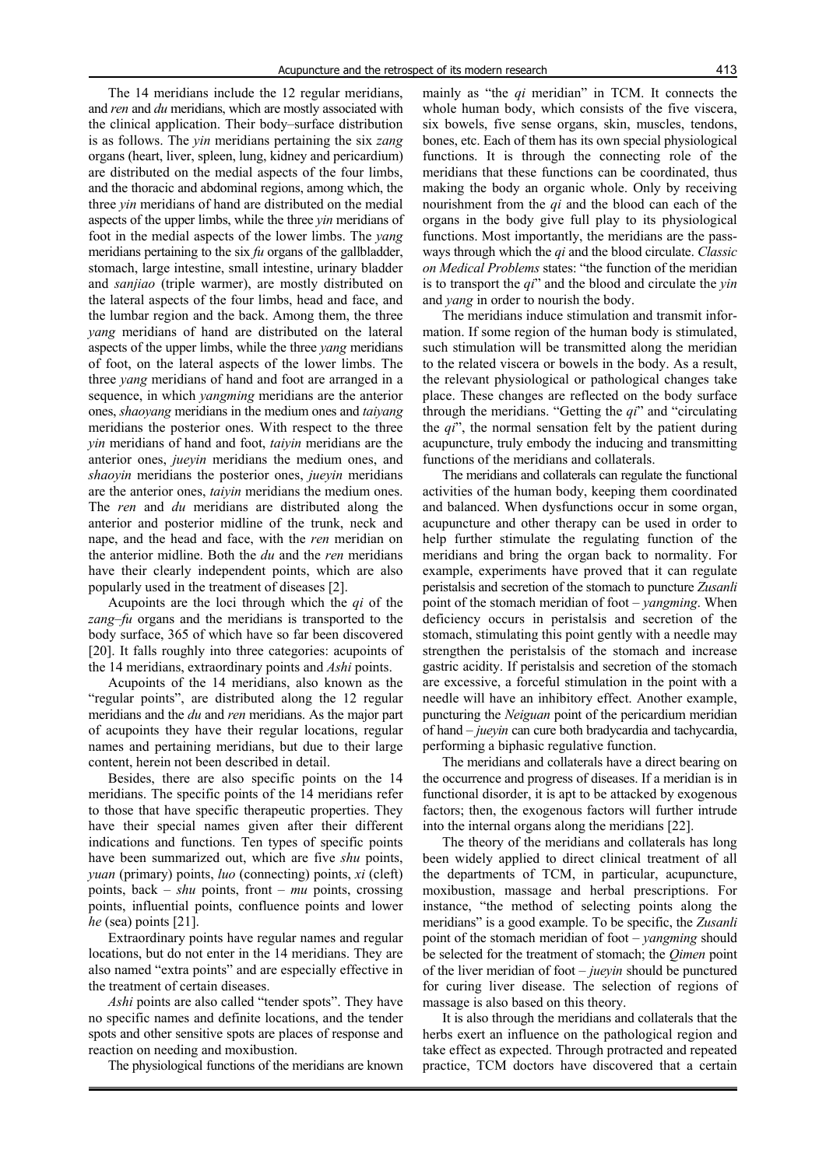The 14 meridians include the 12 regular meridians, and *ren* and *du* meridians, which are mostly associated with the clinical application. Their body–surface distribution is as follows. The *yin* meridians pertaining the six *zang* organs (heart, liver, spleen, lung, kidney and pericardium) are distributed on the medial aspects of the four limbs, and the thoracic and abdominal regions, among which, the three *yin* meridians of hand are distributed on the medial aspects of the upper limbs, while the three *yin* meridians of foot in the medial aspects of the lower limbs. The *yang* meridians pertaining to the six *fu* organs of the gallbladder, stomach, large intestine, small intestine, urinary bladder and *sanjiao* (triple warmer), are mostly distributed on the lateral aspects of the four limbs, head and face, and the lumbar region and the back. Among them, the three *yang* meridians of hand are distributed on the lateral aspects of the upper limbs, while the three *yang* meridians of foot, on the lateral aspects of the lower limbs. The three *yang* meridians of hand and foot are arranged in a sequence, in which *yangming* meridians are the anterior ones, *shaoyang* meridians in the medium ones and *taiyang* meridians the posterior ones. With respect to the three *yin* meridians of hand and foot, *taiyin* meridians are the anterior ones, *jueyin* meridians the medium ones, and *shaoyin* meridians the posterior ones, *jueyin* meridians are the anterior ones, *taiyin* meridians the medium ones. The *ren* and *du* meridians are distributed along the anterior and posterior midline of the trunk, neck and nape, and the head and face, with the *ren* meridian on the anterior midline. Both the *du* and the *ren* meridians have their clearly independent points, which are also popularly used in the treatment of diseases [2].

Acupoints are the loci through which the *qi* of the *zang*–*fu* organs and the meridians is transported to the body surface, 365 of which have so far been discovered [20]. It falls roughly into three categories: acupoints of the 14 meridians, extraordinary points and *Ashi* points.

Acupoints of the 14 meridians, also known as the "regular points", are distributed along the 12 regular meridians and the *du* and *ren* meridians. As the major part of acupoints they have their regular locations, regular names and pertaining meridians, but due to their large content, herein not been described in detail.

Besides, there are also specific points on the 14 meridians. The specific points of the 14 meridians refer to those that have specific therapeutic properties. They have their special names given after their different indications and functions. Ten types of specific points have been summarized out, which are five *shu* points, *yuan* (primary) points, *luo* (connecting) points, *xi* (cleft) points, back – *shu* points, front – *mu* points, crossing points, influential points, confluence points and lower *he* (sea) points [21].

Extraordinary points have regular names and regular locations, but do not enter in the 14 meridians. They are also named "extra points" and are especially effective in the treatment of certain diseases.

*Ashi* points are also called "tender spots". They have no specific names and definite locations, and the tender spots and other sensitive spots are places of response and reaction on needing and moxibustion.

The physiological functions of the meridians are known

mainly as "the *qi* meridian" in TCM. It connects the whole human body, which consists of the five viscera, six bowels, five sense organs, skin, muscles, tendons, bones, etc. Each of them has its own special physiological functions. It is through the connecting role of the meridians that these functions can be coordinated, thus making the body an organic whole. Only by receiving nourishment from the *qi* and the blood can each of the organs in the body give full play to its physiological functions. Most importantly, the meridians are the passways through which the *qi* and the blood circulate. *Classic on Medical Problems* states: "the function of the meridian is to transport the *qi*" and the blood and circulate the *yin* and *yang* in order to nourish the body.

The meridians induce stimulation and transmit information. If some region of the human body is stimulated, such stimulation will be transmitted along the meridian to the related viscera or bowels in the body. As a result, the relevant physiological or pathological changes take place. These changes are reflected on the body surface through the meridians. "Getting the *qi*" and "circulating the *qi*", the normal sensation felt by the patient during acupuncture, truly embody the inducing and transmitting functions of the meridians and collaterals.

The meridians and collaterals can regulate the functional activities of the human body, keeping them coordinated and balanced. When dysfunctions occur in some organ, acupuncture and other therapy can be used in order to help further stimulate the regulating function of the meridians and bring the organ back to normality. For example, experiments have proved that it can regulate peristalsis and secretion of the stomach to puncture *Zusanli* point of the stomach meridian of foot – *yangming*. When deficiency occurs in peristalsis and secretion of the stomach, stimulating this point gently with a needle may strengthen the peristalsis of the stomach and increase gastric acidity. If peristalsis and secretion of the stomach are excessive, a forceful stimulation in the point with a needle will have an inhibitory effect. Another example, puncturing the *Neiguan* point of the pericardium meridian of hand – *jueyin* can cure both bradycardia and tachycardia, performing a biphasic regulative function.

The meridians and collaterals have a direct bearing on the occurrence and progress of diseases. If a meridian is in functional disorder, it is apt to be attacked by exogenous factors; then, the exogenous factors will further intrude into the internal organs along the meridians [22].

The theory of the meridians and collaterals has long been widely applied to direct clinical treatment of all the departments of TCM, in particular, acupuncture, moxibustion, massage and herbal prescriptions. For instance, "the method of selecting points along the meridians" is a good example. To be specific, the *Zusanli* point of the stomach meridian of foot – *yangming* should be selected for the treatment of stomach; the *Qimen* point of the liver meridian of foot – *jueyin* should be punctured for curing liver disease. The selection of regions of massage is also based on this theory.

It is also through the meridians and collaterals that the herbs exert an influence on the pathological region and take effect as expected. Through protracted and repeated practice, TCM doctors have discovered that a certain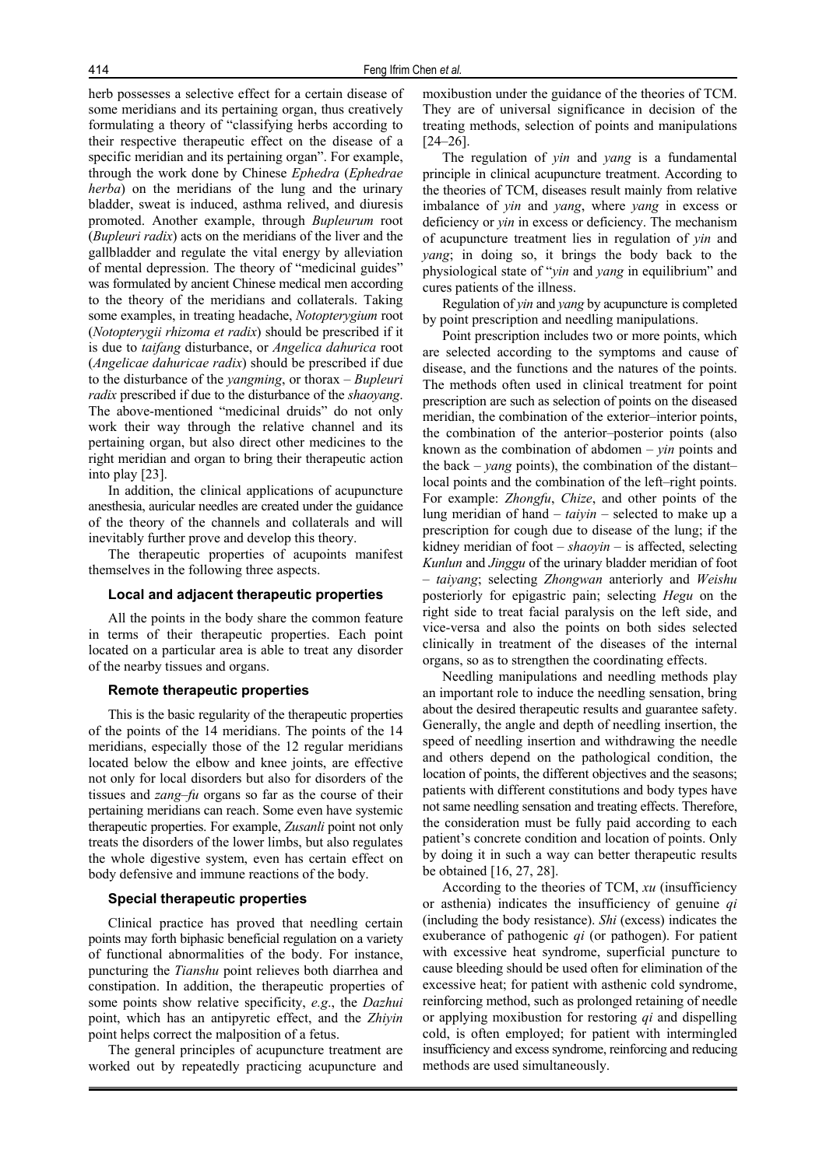herb possesses a selective effect for a certain disease of some meridians and its pertaining organ, thus creatively formulating a theory of "classifying herbs according to their respective therapeutic effect on the disease of a specific meridian and its pertaining organ". For example, through the work done by Chinese *Ephedra* (*Ephedrae herba*) on the meridians of the lung and the urinary bladder, sweat is induced, asthma relived, and diuresis promoted. Another example, through *Bupleurum* root (*Bupleuri radix*) acts on the meridians of the liver and the gallbladder and regulate the vital energy by alleviation of mental depression. The theory of "medicinal guides" was formulated by ancient Chinese medical men according to the theory of the meridians and collaterals. Taking some examples, in treating headache, *Notopterygium* root (*Notopterygii rhizoma et radix*) should be prescribed if it is due to *taifang* disturbance, or *Angelica dahurica* root (*Angelicae dahuricae radix*) should be prescribed if due to the disturbance of the *yangming*, or thorax – *Bupleuri radix* prescribed if due to the disturbance of the *shaoyang*. The above-mentioned "medicinal druids" do not only work their way through the relative channel and its pertaining organ, but also direct other medicines to the right meridian and organ to bring their therapeutic action into play [23].

In addition, the clinical applications of acupuncture anesthesia, auricular needles are created under the guidance of the theory of the channels and collaterals and will inevitably further prove and develop this theory.

The therapeutic properties of acupoints manifest themselves in the following three aspects.

#### **Local and adjacent therapeutic properties**

All the points in the body share the common feature in terms of their therapeutic properties. Each point located on a particular area is able to treat any disorder of the nearby tissues and organs.

#### **Remote therapeutic properties**

This is the basic regularity of the therapeutic properties of the points of the 14 meridians. The points of the 14 meridians, especially those of the 12 regular meridians located below the elbow and knee joints, are effective not only for local disorders but also for disorders of the tissues and *zang*–*fu* organs so far as the course of their pertaining meridians can reach. Some even have systemic therapeutic properties. For example, *Zusanli* point not only treats the disorders of the lower limbs, but also regulates the whole digestive system, even has certain effect on body defensive and immune reactions of the body.

#### **Special therapeutic properties**

Clinical practice has proved that needling certain points may forth biphasic beneficial regulation on a variety of functional abnormalities of the body. For instance, puncturing the *Tianshu* point relieves both diarrhea and constipation. In addition, the therapeutic properties of some points show relative specificity, *e.g*., the *Dazhui* point, which has an antipyretic effect, and the *Zhiyin* point helps correct the malposition of a fetus.

The general principles of acupuncture treatment are worked out by repeatedly practicing acupuncture and moxibustion under the guidance of the theories of TCM. They are of universal significance in decision of the treating methods, selection of points and manipulations [24–26].

The regulation of *yin* and *yang* is a fundamental principle in clinical acupuncture treatment. According to the theories of TCM, diseases result mainly from relative imbalance of *yin* and *yang*, where *yang* in excess or deficiency or *yin* in excess or deficiency. The mechanism of acupuncture treatment lies in regulation of *yin* and *yang*; in doing so, it brings the body back to the physiological state of "*yin* and *yang* in equilibrium" and cures patients of the illness.

Regulation of *yin* and *yang* by acupuncture is completed by point prescription and needling manipulations.

Point prescription includes two or more points, which are selected according to the symptoms and cause of disease, and the functions and the natures of the points. The methods often used in clinical treatment for point prescription are such as selection of points on the diseased meridian, the combination of the exterior–interior points, the combination of the anterior–posterior points (also known as the combination of abdomen – *yin* points and the back – *yang* points), the combination of the distant– local points and the combination of the left–right points. For example: *Zhongfu*, *Chize*, and other points of the lung meridian of hand – *taiyin* – selected to make up a prescription for cough due to disease of the lung; if the kidney meridian of foot – *shaoyin* – is affected, selecting *Kunlun* and *Jinggu* of the urinary bladder meridian of foot – *taiyang*; selecting *Zhongwan* anteriorly and *Weishu* posteriorly for epigastric pain; selecting *Hegu* on the right side to treat facial paralysis on the left side, and vice-versa and also the points on both sides selected clinically in treatment of the diseases of the internal organs, so as to strengthen the coordinating effects.

Needling manipulations and needling methods play an important role to induce the needling sensation, bring about the desired therapeutic results and guarantee safety. Generally, the angle and depth of needling insertion, the speed of needling insertion and withdrawing the needle and others depend on the pathological condition, the location of points, the different objectives and the seasons; patients with different constitutions and body types have not same needling sensation and treating effects. Therefore, the consideration must be fully paid according to each patient's concrete condition and location of points. Only by doing it in such a way can better therapeutic results be obtained [16, 27, 28].

According to the theories of TCM, *xu* (insufficiency or asthenia) indicates the insufficiency of genuine *qi* (including the body resistance). *Shi* (excess) indicates the exuberance of pathogenic *qi* (or pathogen). For patient with excessive heat syndrome, superficial puncture to cause bleeding should be used often for elimination of the excessive heat; for patient with asthenic cold syndrome, reinforcing method, such as prolonged retaining of needle or applying moxibustion for restoring *qi* and dispelling cold, is often employed; for patient with intermingled insufficiency and excess syndrome, reinforcing and reducing methods are used simultaneously.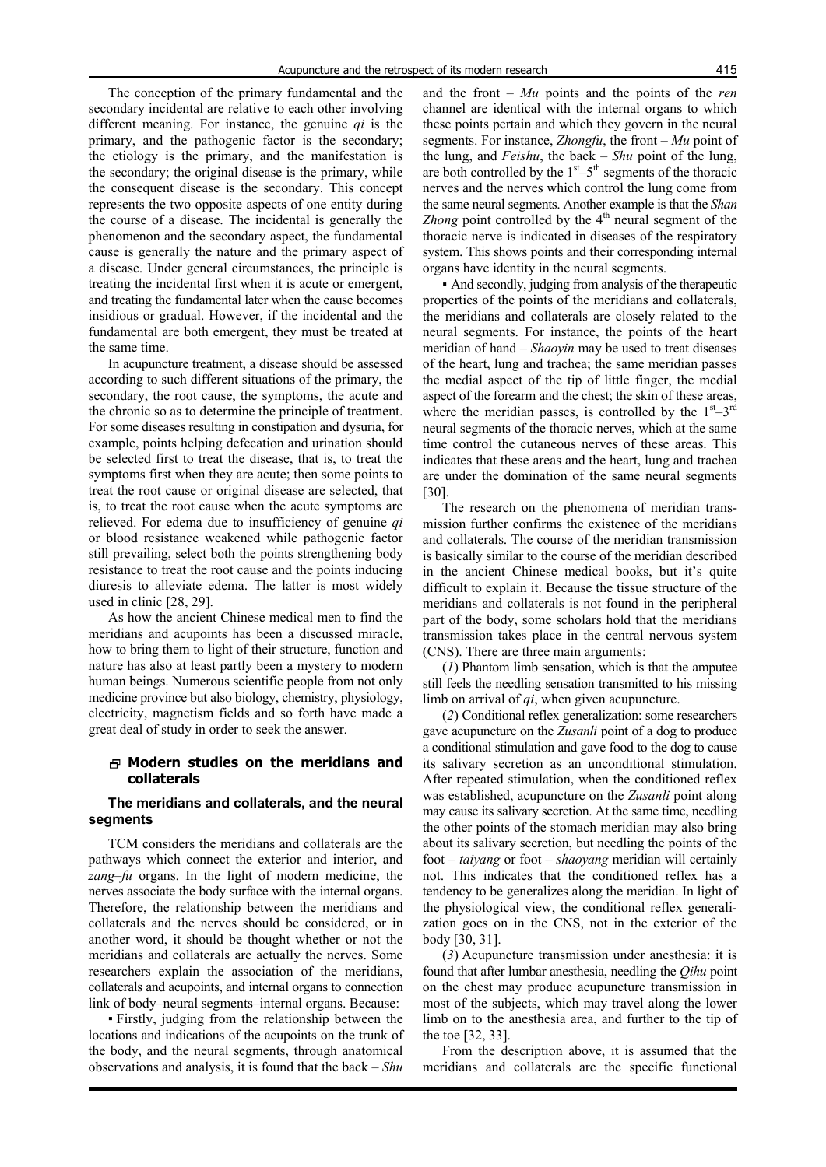The conception of the primary fundamental and the secondary incidental are relative to each other involving different meaning. For instance, the genuine *qi* is the primary, and the pathogenic factor is the secondary; the etiology is the primary, and the manifestation is the secondary; the original disease is the primary, while the consequent disease is the secondary. This concept represents the two opposite aspects of one entity during the course of a disease. The incidental is generally the phenomenon and the secondary aspect, the fundamental cause is generally the nature and the primary aspect of a disease. Under general circumstances, the principle is treating the incidental first when it is acute or emergent, and treating the fundamental later when the cause becomes insidious or gradual. However, if the incidental and the fundamental are both emergent, they must be treated at the same time.

In acupuncture treatment, a disease should be assessed according to such different situations of the primary, the secondary, the root cause, the symptoms, the acute and the chronic so as to determine the principle of treatment. For some diseases resulting in constipation and dysuria, for example, points helping defecation and urination should be selected first to treat the disease, that is, to treat the symptoms first when they are acute; then some points to treat the root cause or original disease are selected, that is, to treat the root cause when the acute symptoms are relieved. For edema due to insufficiency of genuine *qi* or blood resistance weakened while pathogenic factor still prevailing, select both the points strengthening body resistance to treat the root cause and the points inducing diuresis to alleviate edema. The latter is most widely used in clinic [28, 29].

As how the ancient Chinese medical men to find the meridians and acupoints has been a discussed miracle, how to bring them to light of their structure, function and nature has also at least partly been a mystery to modern human beings. Numerous scientific people from not only medicine province but also biology, chemistry, physiology, electricity, magnetism fields and so forth have made a great deal of study in order to seek the answer.

## **Modern studies on the meridians and collaterals**

#### **The meridians and collaterals, and the neural segments**

TCM considers the meridians and collaterals are the pathways which connect the exterior and interior, and *zang*–*fu* organs. In the light of modern medicine, the nerves associate the body surface with the internal organs. Therefore, the relationship between the meridians and collaterals and the nerves should be considered, or in another word, it should be thought whether or not the meridians and collaterals are actually the nerves. Some researchers explain the association of the meridians, collaterals and acupoints, and internal organs to connection link of body–neural segments–internal organs. Because:

▪ Firstly, judging from the relationship between the locations and indications of the acupoints on the trunk of the body, and the neural segments, through anatomical observations and analysis, it is found that the back – *Shu*

and the front – *Mu* points and the points of the *ren* channel are identical with the internal organs to which these points pertain and which they govern in the neural segments. For instance, *Zhongfu*, the front – *Mu* point of the lung, and *Feishu*, the back – *Shu* point of the lung, are both controlled by the  $1<sup>st</sup>-5<sup>th</sup>$  segments of the thoracic nerves and the nerves which control the lung come from the same neural segments. Another example is that the *Shan Zhong* point controlled by the 4<sup>th</sup> neural segment of the thoracic nerve is indicated in diseases of the respiratory system. This shows points and their corresponding internal organs have identity in the neural segments.

▪ And secondly, judging from analysis of the therapeutic properties of the points of the meridians and collaterals, the meridians and collaterals are closely related to the neural segments. For instance, the points of the heart meridian of hand – *Shaoyin* may be used to treat diseases of the heart, lung and trachea; the same meridian passes the medial aspect of the tip of little finger, the medial aspect of the forearm and the chest; the skin of these areas, where the meridian passes, is controlled by the  $1<sup>st</sup>-3<sup>rd</sup>$ neural segments of the thoracic nerves, which at the same time control the cutaneous nerves of these areas. This indicates that these areas and the heart, lung and trachea are under the domination of the same neural segments [30].

The research on the phenomena of meridian transmission further confirms the existence of the meridians and collaterals. The course of the meridian transmission is basically similar to the course of the meridian described in the ancient Chinese medical books, but it's quite difficult to explain it. Because the tissue structure of the meridians and collaterals is not found in the peripheral part of the body, some scholars hold that the meridians transmission takes place in the central nervous system (CNS). There are three main arguments:

(*1*) Phantom limb sensation, which is that the amputee still feels the needling sensation transmitted to his missing limb on arrival of *qi*, when given acupuncture.

(*2*) Conditional reflex generalization: some researchers gave acupuncture on the *Zusanli* point of a dog to produce a conditional stimulation and gave food to the dog to cause its salivary secretion as an unconditional stimulation. After repeated stimulation, when the conditioned reflex was established, acupuncture on the *Zusanli* point along may cause its salivary secretion. At the same time, needling the other points of the stomach meridian may also bring about its salivary secretion, but needling the points of the foot – *taiyang* or foot – *shaoyang* meridian will certainly not. This indicates that the conditioned reflex has a tendency to be generalizes along the meridian. In light of the physiological view, the conditional reflex generalization goes on in the CNS, not in the exterior of the body [30, 31].

(*3*) Acupuncture transmission under anesthesia: it is found that after lumbar anesthesia, needling the *Qihu* point on the chest may produce acupuncture transmission in most of the subjects, which may travel along the lower limb on to the anesthesia area, and further to the tip of the toe [32, 33].

From the description above, it is assumed that the meridians and collaterals are the specific functional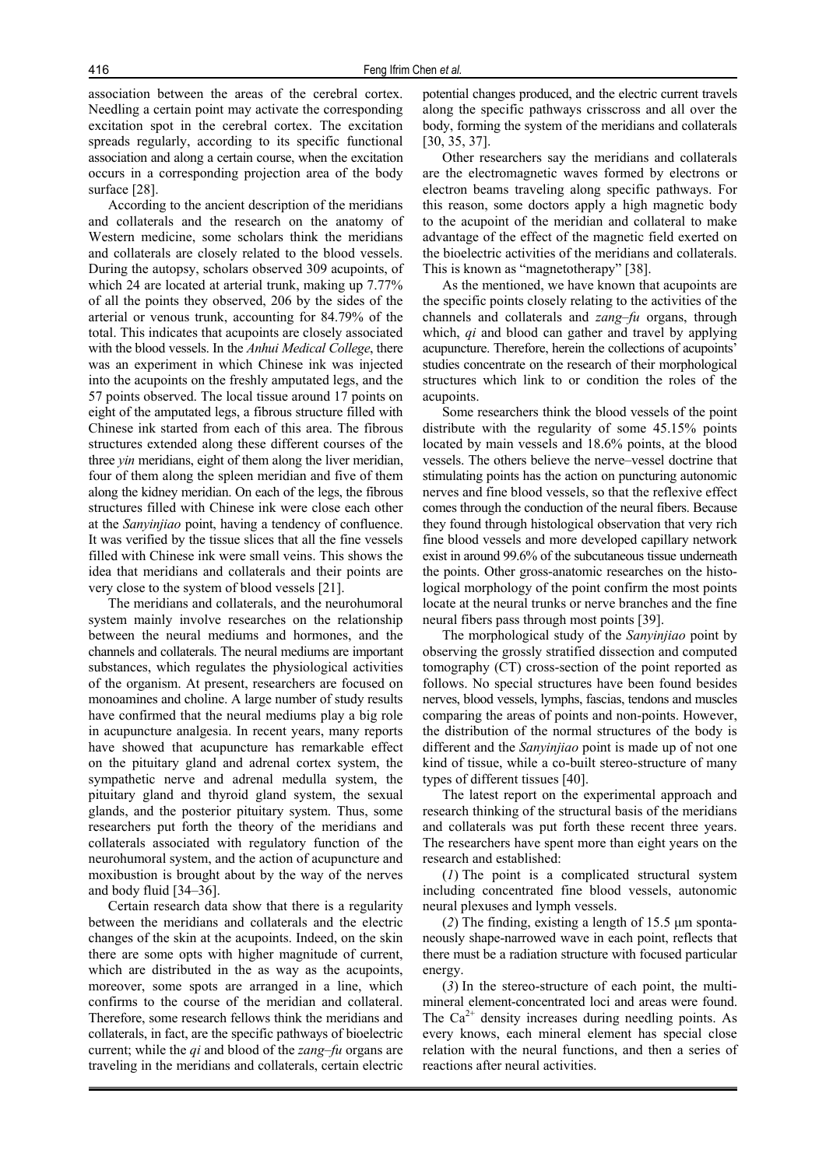association between the areas of the cerebral cortex. Needling a certain point may activate the corresponding excitation spot in the cerebral cortex. The excitation spreads regularly, according to its specific functional association and along a certain course, when the excitation occurs in a corresponding projection area of the body surface [28].

According to the ancient description of the meridians and collaterals and the research on the anatomy of Western medicine, some scholars think the meridians and collaterals are closely related to the blood vessels. During the autopsy, scholars observed 309 acupoints, of which 24 are located at arterial trunk, making up 7.77% of all the points they observed, 206 by the sides of the arterial or venous trunk, accounting for 84.79% of the total. This indicates that acupoints are closely associated with the blood vessels. In the *Anhui Medical College*, there was an experiment in which Chinese ink was injected into the acupoints on the freshly amputated legs, and the 57 points observed. The local tissue around 17 points on eight of the amputated legs, a fibrous structure filled with Chinese ink started from each of this area. The fibrous structures extended along these different courses of the three *yin* meridians, eight of them along the liver meridian, four of them along the spleen meridian and five of them along the kidney meridian. On each of the legs, the fibrous structures filled with Chinese ink were close each other at the *Sanyinjiao* point, having a tendency of confluence. It was verified by the tissue slices that all the fine vessels filled with Chinese ink were small veins. This shows the idea that meridians and collaterals and their points are very close to the system of blood vessels [21].

The meridians and collaterals, and the neurohumoral system mainly involve researches on the relationship between the neural mediums and hormones, and the channels and collaterals. The neural mediums are important substances, which regulates the physiological activities of the organism. At present, researchers are focused on monoamines and choline. A large number of study results have confirmed that the neural mediums play a big role in acupuncture analgesia. In recent years, many reports have showed that acupuncture has remarkable effect on the pituitary gland and adrenal cortex system, the sympathetic nerve and adrenal medulla system, the pituitary gland and thyroid gland system, the sexual glands, and the posterior pituitary system. Thus, some researchers put forth the theory of the meridians and collaterals associated with regulatory function of the neurohumoral system, and the action of acupuncture and moxibustion is brought about by the way of the nerves and body fluid [34–36].

Certain research data show that there is a regularity between the meridians and collaterals and the electric changes of the skin at the acupoints. Indeed, on the skin there are some opts with higher magnitude of current, which are distributed in the as way as the acupoints, moreover, some spots are arranged in a line, which confirms to the course of the meridian and collateral. Therefore, some research fellows think the meridians and collaterals, in fact, are the specific pathways of bioelectric current; while the *qi* and blood of the *zang*–*fu* organs are traveling in the meridians and collaterals, certain electric potential changes produced, and the electric current travels along the specific pathways crisscross and all over the body, forming the system of the meridians and collaterals [30, 35, 37].

Other researchers say the meridians and collaterals are the electromagnetic waves formed by electrons or electron beams traveling along specific pathways. For this reason, some doctors apply a high magnetic body to the acupoint of the meridian and collateral to make advantage of the effect of the magnetic field exerted on the bioelectric activities of the meridians and collaterals. This is known as "magnetotherapy" [38].

As the mentioned, we have known that acupoints are the specific points closely relating to the activities of the channels and collaterals and *zang*–*fu* organs, through which, *qi* and blood can gather and travel by applying acupuncture. Therefore, herein the collections of acupoints' studies concentrate on the research of their morphological structures which link to or condition the roles of the acupoints.

Some researchers think the blood vessels of the point distribute with the regularity of some 45.15% points located by main vessels and 18.6% points, at the blood vessels. The others believe the nerve–vessel doctrine that stimulating points has the action on puncturing autonomic nerves and fine blood vessels, so that the reflexive effect comes through the conduction of the neural fibers. Because they found through histological observation that very rich fine blood vessels and more developed capillary network exist in around 99.6% of the subcutaneous tissue underneath the points. Other gross-anatomic researches on the histological morphology of the point confirm the most points locate at the neural trunks or nerve branches and the fine neural fibers pass through most points [39].

The morphological study of the *Sanyinjiao* point by observing the grossly stratified dissection and computed tomography (CT) cross-section of the point reported as follows. No special structures have been found besides nerves, blood vessels, lymphs, fascias, tendons and muscles comparing the areas of points and non-points. However, the distribution of the normal structures of the body is different and the *Sanyinjiao* point is made up of not one kind of tissue, while a co-built stereo-structure of many types of different tissues [40].

The latest report on the experimental approach and research thinking of the structural basis of the meridians and collaterals was put forth these recent three years. The researchers have spent more than eight years on the research and established:

(*1*) The point is a complicated structural system including concentrated fine blood vessels, autonomic neural plexuses and lymph vessels.

(*2*) The finding, existing a length of 15.5 μm spontaneously shape-narrowed wave in each point, reflects that there must be a radiation structure with focused particular energy.

(*3*) In the stereo-structure of each point, the multimineral element-concentrated loci and areas were found. The  $Ca^{2+}$  density increases during needling points. As every knows, each mineral element has special close relation with the neural functions, and then a series of reactions after neural activities.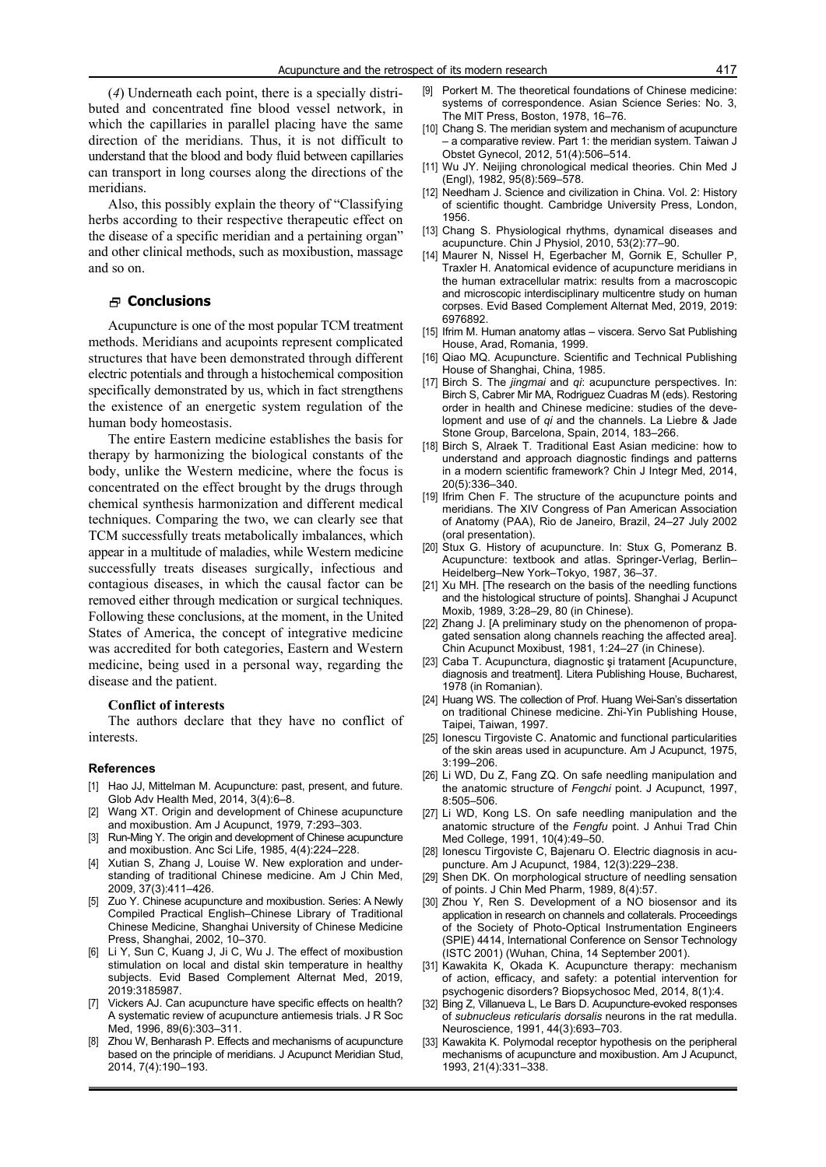(*4*) Underneath each point, there is a specially distributed and concentrated fine blood vessel network, in which the capillaries in parallel placing have the same direction of the meridians. Thus, it is not difficult to understand that the blood and body fluid between capillaries can transport in long courses along the directions of the meridians.

Also, this possibly explain the theory of "Classifying herbs according to their respective therapeutic effect on the disease of a specific meridian and a pertaining organ" and other clinical methods, such as moxibustion, massage and so on.

#### **Conclusions**

Acupuncture is one of the most popular TCM treatment methods. Meridians and acupoints represent complicated structures that have been demonstrated through different electric potentials and through a histochemical composition specifically demonstrated by us, which in fact strengthens the existence of an energetic system regulation of the human body homeostasis.

The entire Eastern medicine establishes the basis for therapy by harmonizing the biological constants of the body, unlike the Western medicine, where the focus is concentrated on the effect brought by the drugs through chemical synthesis harmonization and different medical techniques. Comparing the two, we can clearly see that TCM successfully treats metabolically imbalances, which appear in a multitude of maladies, while Western medicine successfully treats diseases surgically, infectious and contagious diseases, in which the causal factor can be removed either through medication or surgical techniques. Following these conclusions, at the moment, in the United States of America, the concept of integrative medicine was accredited for both categories, Eastern and Western medicine, being used in a personal way, regarding the disease and the patient.

#### **Conflict of interests**

The authors declare that they have no conflict of interests.

#### **References**

- [1] Hao JJ, Mittelman M. Acupuncture: past, present, and future. Glob Adv Health Med, 2014, 3(4):6–8.
- [2] Wang XT. Origin and development of Chinese acupuncture and moxibustion. Am J Acupunct, 1979, 7:293–303.
- [3] Run-Ming Y. The origin and development of Chinese acupuncture and moxibustion. Anc Sci Life, 1985, 4(4):224–228.
- [4] Xutian S, Zhang J, Louise W. New exploration and understanding of traditional Chinese medicine. Am J Chin Med, 2009, 37(3):411–426.
- Zuo Y. Chinese acupuncture and moxibustion. Series: A Newly Compiled Practical English–Chinese Library of Traditional Chinese Medicine, Shanghai University of Chinese Medicine Press, Shanghai, 2002, 10–370.
- [6] Li Y, Sun C, Kuang J, Ji C, Wu J. The effect of moxibustion stimulation on local and distal skin temperature in healthy subjects. Evid Based Complement Alternat Med, 2019, 2019:3185987.
- [7] Vickers AJ. Can acupuncture have specific effects on health? A systematic review of acupuncture antiemesis trials. J R Soc Med, 1996, 89(6):303–311.
- Zhou W, Benharash P. Effects and mechanisms of acupuncture based on the principle of meridians. J Acupunct Meridian Stud, 2014, 7(4):190–193.
- [9] Porkert M. The theoretical foundations of Chinese medicine: systems of correspondence. Asian Science Series: No. 3, The MIT Press, Boston, 1978, 16–76.
- [10] Chang S. The meridian system and mechanism of acupuncture – a comparative review. Part 1: the meridian system. Taiwan J Obstet Gynecol, 2012, 51(4):506–514.
- [11] Wu JY. Neijing chronological medical theories. Chin Med J (Engl), 1982, 95(8):569–578.
- [12] Needham J. Science and civilization in China. Vol. 2: History of scientific thought. Cambridge University Press, London, 1956.
- [13] Chang S. Physiological rhythms, dynamical diseases and acupuncture. Chin J Physiol, 2010, 53(2):77–90.
- [14] Maurer N, Nissel H, Egerbacher M, Gornik E, Schuller P, Traxler H. Anatomical evidence of acupuncture meridians in the human extracellular matrix: results from a macroscopic and microscopic interdisciplinary multicentre study on human corpses. Evid Based Complement Alternat Med, 2019, 2019: 6976892.
- [15] Ifrim M. Human anatomy atlas viscera. Servo Sat Publishing House, Arad, Romania, 1999.
- [16] Qiao MQ. Acupuncture. Scientific and Technical Publishing House of Shanghai, China, 1985.
- [17] Birch S. The *jingmai* and *qi*: acupuncture perspectives. In: Birch S, Cabrer Mir MA, Rodriguez Cuadras M (eds). Restoring order in health and Chinese medicine: studies of the development and use of *qi* and the channels. La Liebre & Jade Stone Group, Barcelona, Spain, 2014, 183–266.
- [18] Birch S, Alraek T. Traditional East Asian medicine: how to understand and approach diagnostic findings and patterns in a modern scientific framework? Chin J Integr Med, 2014, 20(5):336–340.
- [19] Ifrim Chen F. The structure of the acupuncture points and meridians. The XIV Congress of Pan American Association of Anatomy (PAA), Rio de Janeiro, Brazil, 24–27 July 2002 (oral presentation).
- [20] Stux G. History of acupuncture. In: Stux G, Pomeranz B. Acupuncture: textbook and atlas. Springer-Verlag, Berlin– Heidelberg–New York–Tokyo, 1987, 36–37.
- [21] Xu MH. [The research on the basis of the needling functions and the histological structure of points]. Shanghai J Acupunct Moxib, 1989, 3:28–29, 80 (in Chinese).
- [22] Zhang J. [A preliminary study on the phenomenon of propagated sensation along channels reaching the affected area]. Chin Acupunct Moxibust, 1981, 1:24–27 (in Chinese).
- [23] Caba T. Acupunctura, diagnostic si tratament [Acupuncture, diagnosis and treatment]. Litera Publishing House, Bucharest, 1978 (in Romanian).
- [24] Huang WS. The collection of Prof. Huang Wei-San's dissertation on traditional Chinese medicine. Zhi-Yin Publishing House, Taipei, Taiwan, 1997.
- [25] Ionescu Tirgoviste C. Anatomic and functional particularities of the skin areas used in acupuncture. Am J Acupunct, 1975, 3:199–206.
- [26] Li WD, Du Z, Fang ZQ. On safe needling manipulation and the anatomic structure of *Fengchi* point. J Acupunct, 1997, 8:505–506.
- [27] Li WD, Kong LS. On safe needling manipulation and the anatomic structure of the *Fengfu* point. J Anhui Trad Chin Med College, 1991, 10(4):49–50.
- [28] Ionescu Tirgoviste C, Bajenaru O. Electric diagnosis in acupuncture. Am J Acupunct, 1984, 12(3):229–238.
- [29] Shen DK. On morphological structure of needling sensation of points. J Chin Med Pharm, 1989, 8(4):57.
- [30] Zhou Y, Ren S. Development of a NO biosensor and its application in research on channels and collaterals. Proceedings of the Society of Photo-Optical Instrumentation Engineers (SPIE) 4414, International Conference on Sensor Technology (ISTC 2001) (Wuhan, China, 14 September 2001).
- [31] Kawakita K, Okada K. Acupuncture therapy: mechanism of action, efficacy, and safety: a potential intervention for psychogenic disorders? Biopsychosoc Med, 2014, 8(1):4.
- [32] Bing Z, Villanueva L, Le Bars D. Acupuncture-evoked responses of *subnucleus reticularis dorsalis* neurons in the rat medulla. Neuroscience, 1991, 44(3):693–703.
- [33] Kawakita K. Polymodal receptor hypothesis on the peripheral mechanisms of acupuncture and moxibustion. Am J Acupunct, 1993, 21(4):331–338.